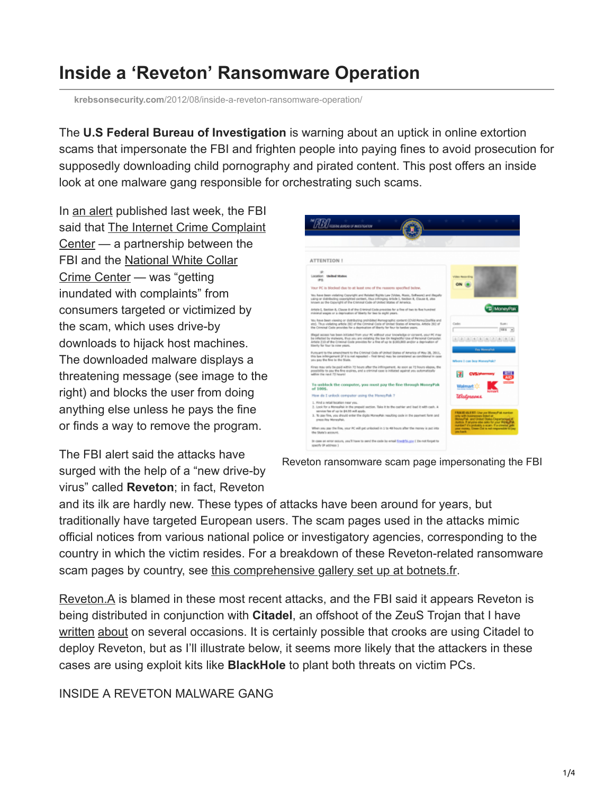## **Inside a 'Reveton' Ransomware Operation**

**krebsonsecurity.com**[/2012/08/inside-a-reveton-ransomware-operation/](https://krebsonsecurity.com/2012/08/inside-a-reveton-ransomware-operation/)

The **U.S Federal Bureau of Investigation** is warning about an uptick in online extortion scams that impersonate the FBI and frighten people into paying fines to avoid prosecution for supposedly downloading child pornography and pirated content. This post offers an inside look at one malware gang responsible for orchestrating such scams.

In [an alert](http://www.fbi.gov/news/stories/2012/august/new-internet-scam/new-internet-scam?utm_campaign=email-Immediate&utm_medium=email&utm_source=fbi-top-stories&utm_content=129647) published last week, the FBI [said that The Internet Crime Complaint](http://www.ic3.gov/) Center — a partnership between the [FBI and the National White Collar](http://www.nw3c.org/) Crime Center — was "getting inundated with complaints" from consumers targeted or victimized by the scam, which uses drive-by downloads to hijack host machines. The downloaded malware displays a threatening message (see image to the right) and blocks the user from doing anything else unless he pays the fine or finds a way to remove the program.

The FBI alert said the attacks have surged with the help of a "new drive-by virus" called **Reveton**; in fact, Reveton



Reveton ransomware scam page impersonating the FBI

and its ilk are hardly new. These types of attacks have been around for years, but traditionally have targeted European users. The scam pages used in the attacks mimic official notices from various national police or investigatory agencies, corresponding to the country in which the victim resides. For a breakdown of these Reveton-related ransomware scam pages by country, see [this comprehensive gallery set up at botnets.fr.](https://www.botnets.fr/index.php/Reveton)

[Reveton.A](http://www.microsoft.com/security/portal/Threat/Encyclopedia/Entry.aspx?Name=Trojan:Win32/Reveton.A) is blamed in these most recent attacks, and the FBI said it appears Reveton is being distributed in conjunction with **Citadel**, an offshoot of the ZeuS Trojan that I have [written](http://krebsonsecurity.com/2012/02/collaboration-feuls-rapdid-growth-of-citadel-trojan/) [about](http://krebsonsecurity.com/2012/01/citadel-trojan-touts-trouble-ticket-system/) on several occasions. It is certainly possible that crooks are using Citadel to deploy Reveton, but as I'll illustrate below, it seems more likely that the attackers in these cases are using exploit kits like **BlackHole** to plant both threats on victim PCs.

## INSIDE A REVETON MALWARE GANG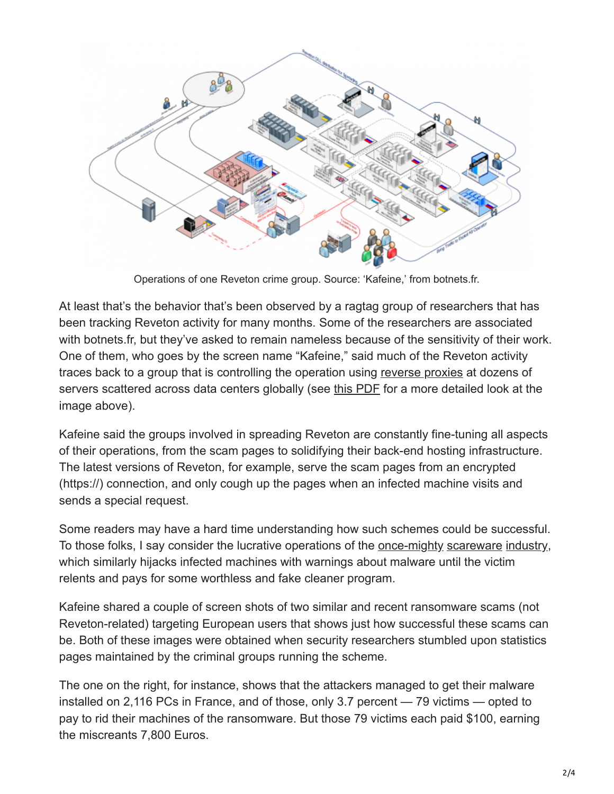

Operations of one Reveton crime group. Source: 'Kafeine,' from botnets.fr.

At least that's the behavior that's been observed by a ragtag group of researchers that has been tracking Reveton activity for many months. Some of the researchers are associated with botnets.fr, but they've asked to remain nameless because of the sensitivity of their work. One of them, who goes by the screen name "Kafeine," said much of the Reveton activity traces back to a group that is controlling the operation using [reverse proxies](http://en.wikipedia.org/wiki/Reverse_proxy) at dozens of servers scattered across data centers globally (see [this PDF](http://krebsonsecurity.com/wp-content/uploads/2012/08/Reveton-Distribution-Scheme-1st-May-20111.pdf) for a more detailed look at the image above).

Kafeine said the groups involved in spreading Reveton are constantly fine-tuning all aspects of their operations, from the scam pages to solidifying their back-end hosting infrastructure. The latest versions of Reveton, for example, serve the scam pages from an encrypted (https://) connection, and only cough up the pages when an infected machine visits and sends a special request.

Some readers may have a hard time understanding how such schemes could be successful. To those folks, I say consider the lucrative operations of the [once-mighty](http://krebsonsecurity.com/2011/08/huge-decline-in-fake-av-following-credit-card-processing-shakeup/) [scareware](http://krebsonsecurity.com/2011/03/chronopays-scareware-diaries/) [industry,](http://krebsonsecurity.com/2011/08/fake-antivirus-industry-down-but-not-out/) which similarly hijacks infected machines with warnings about malware until the victim relents and pays for some worthless and fake cleaner program.

Kafeine shared a couple of screen shots of two similar and recent ransomware scams (not Reveton-related) targeting European users that shows just how successful these scams can be. Both of these images were obtained when security researchers stumbled upon statistics pages maintained by the criminal groups running the scheme.

The one on the right, for instance, shows that the attackers managed to get their malware installed on 2,116 PCs in France, and of those, only 3.7 percent — 79 victims — opted to pay to rid their machines of the ransomware. But those 79 victims each paid \$100, earning the miscreants 7,800 Euros.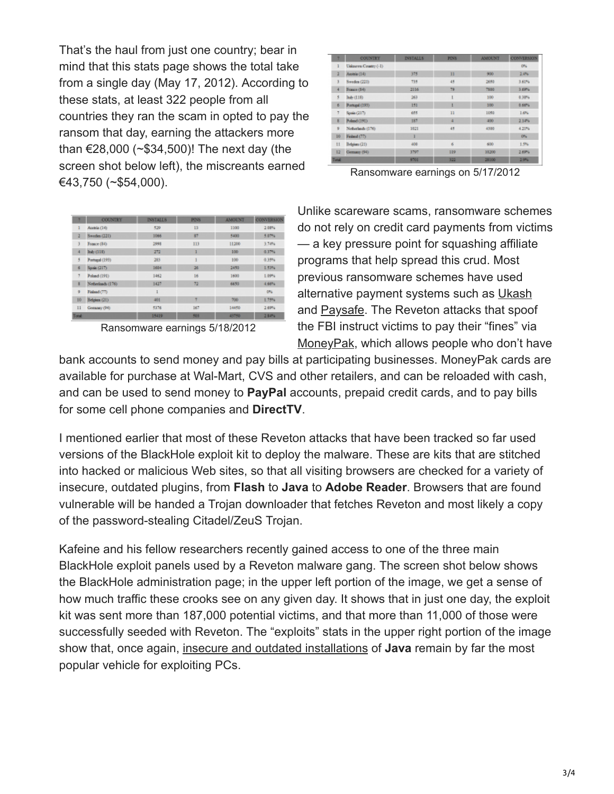That's the haul from just one country; bear in mind that this stats page shows the total take from a single day (May 17, 2012). According to these stats, at least 322 people from all countries they ran the scam in opted to pay the ransom that day, earning the attackers more than €28,000 (~\$34,500)! The next day (the screen shot below left), the miscreants earned €43,750 (~\$54,000).

| ٠            | <b>COUNTRY</b>       | <b>INSTALLS</b> | <b>PINS</b> | <b>AMOUNT</b> | <b>CONVERSION</b> |  |
|--------------|----------------------|-----------------|-------------|---------------|-------------------|--|
|              | Uaknown Country (-1) |                 |             |               | ON:               |  |
| ž            | Aestria (14)         | 375             | n           | 900           | 2,4%              |  |
| 3            | Sweden (221)         | 735             | 45<br>2680  |               | 3.60%             |  |
| 4            | Franco (S4)          | 2116            | 79          | 7900          | 3.69%             |  |
| 5            | Ikab (118)           | 263             |             | 100           | 0.38%             |  |
| ø.           | Portugal (193)       | 151             | ı           | 100           | 0.66%             |  |
| ÷            | Spain (217)          | 11<br>655       |             | 1050          | 1.6%              |  |
| g.           | Poland (191)         | 187             | a           | 400           | 2.14%             |  |
| s.           | Netherlands (176)    | 3021            | 45          | 4300          | 4.21%             |  |
| 10           | Federal (77)         | ı               |             |               | O%                |  |
| $\mathbf{H}$ | Belgium (21)         | 408             | ń           | 600           | 1.9%              |  |
| 12           | Germany (94)         | 3797            | 119         | 10200         | 2.69%             |  |
| Tunak        |                      | 9701            | 322         | 28100         | 2.9%              |  |

Ransomware earnings on 5/17/2012

| ٠             | <b>COUNTRY</b>   | <b>INSTALLS</b> | <b>PINS</b> | <b>AMOUNT</b> | <b>CONVERSION</b> |  |
|---------------|------------------|-----------------|-------------|---------------|-------------------|--|
| ı             | Austria (14)     | 529             | 13          | 1100          | 2.09%             |  |
| 2             | Sweden (221)     | 1066            | 87          | 5400          | 5.07%             |  |
| 3             | France (84)      | 1998            | 113         | 11200         | 3.54%             |  |
| 4             | haly (118)       | 272             | ı           | 100           | 0.37%             |  |
| 5             | Portugal (193)   | 283             | ٠           | 100           | 0.39%             |  |
| 6             | Spain (217)      | 1684            | 36          |               | 1.53%             |  |
| 9             | Poland (191)     | 1462            | 16          | 1600          | 1.09%             |  |
| s             | Netwolands (176) | 1427            | 72          | 6650          | 4,66%             |  |
| 9             | Fisland (77)     | 1               |             |               | DNL               |  |
| 10            | Belgium (21)     | $-201$          | ٠           | 700           | 1.79%             |  |
| $\mathbf{11}$ | Genuancy (94)    | 53.76           | 167         | 14450         | 2.69%             |  |
| Total:        |                  | 15419           | 503         | 43750         | 2.84%             |  |

Ransomware earnings 5/18/2012

Unlike scareware scams, ransomware schemes do not rely on credit card payments from victims — a key pressure point for squashing affiliate programs that help spread this crud. Most previous ransomware schemes have used alternative payment systems such as [Ukash](http://ukash.com/) and [Paysafe.](http://paysafecard.com/) The Reveton attacks that spoof the FBI instruct victims to pay their "fines" via [MoneyPak](http://moneypak.com/), which allows people who don't have

bank accounts to send money and pay bills at participating businesses. MoneyPak cards are available for purchase at Wal-Mart, CVS and other retailers, and can be reloaded with cash, and can be used to send money to **PayPal** accounts, prepaid credit cards, and to pay bills for some cell phone companies and **DirectTV**.

I mentioned earlier that most of these Reveton attacks that have been tracked so far used versions of the BlackHole exploit kit to deploy the malware. These are kits that are stitched into hacked or malicious Web sites, so that all visiting browsers are checked for a variety of insecure, outdated plugins, from **Flash** to **Java** to **Adobe Reader**. Browsers that are found vulnerable will be handed a Trojan downloader that fetches Reveton and most likely a copy of the password-stealing Citadel/ZeuS Trojan.

Kafeine and his fellow researchers recently gained access to one of the three main BlackHole exploit panels used by a Reveton malware gang. The screen shot below shows the BlackHole administration page; in the upper left portion of the image, we get a sense of how much traffic these crooks see on any given day. It shows that in just one day, the exploit kit was sent more than 187,000 potential victims, and that more than 11,000 of those were successfully seeded with Reveton. The "exploits" stats in the upper right portion of the image show that, once again, [insecure and outdated installations](http://krebsonsecurity.com/2012/07/new-java-exploit-to-debut-in-blackhole-exploit-kits/) of **Java** remain by far the most popular vehicle for exploiting PCs.